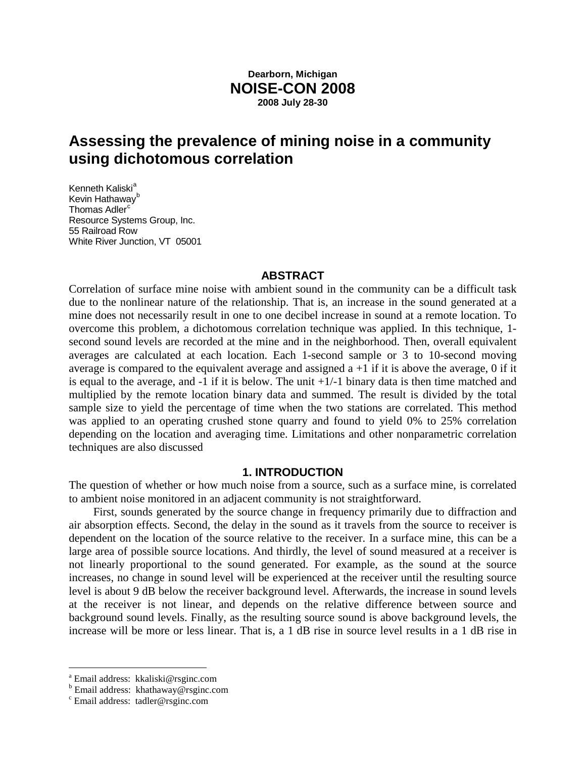# **Dearborn, Michigan NOISE-CON 2008 2008 July 28-30**

# **Assessing the prevalence of mining noise in a community using dichotomous correlation**

Kenneth K[a](#page-0-0)liski<sup>a</sup> Kevin Hathaway<sup>[b](#page-0-1)</sup> Thomas Adler<sup>[c](#page-0-2)</sup> Resource Systems Group, Inc. 55 Railroad Row White River Junction, VT 05001

#### **ABSTRACT**

Correlation of surface mine noise with ambient sound in the community can be a difficult task due to the nonlinear nature of the relationship. That is, an increase in the sound generated at a mine does not necessarily result in one to one decibel increase in sound at a remote location. To overcome this problem, a dichotomous correlation technique was applied. In this technique, 1 second sound levels are recorded at the mine and in the neighborhood. Then, overall equivalent averages are calculated at each location. Each 1-second sample or 3 to 10-second moving average is compared to the equivalent average and assigned  $a + 1$  if it is above the average, 0 if it is equal to the average, and  $-1$  if it is below. The unit  $+1/-1$  binary data is then time matched and multiplied by the remote location binary data and summed. The result is divided by the total sample size to yield the percentage of time when the two stations are correlated. This method was applied to an operating crushed stone quarry and found to yield 0% to 25% correlation depending on the location and averaging time. Limitations and other nonparametric correlation techniques are also discussed

#### **1. INTRODUCTION**

The question of whether or how much noise from a source, such as a surface mine, is correlated to ambient noise monitored in an adjacent community is not straightforward.

First, sounds generated by the source change in frequency primarily due to diffraction and air absorption effects. Second, the delay in the sound as it travels from the source to receiver is dependent on the location of the source relative to the receiver. In a surface mine, this can be a large area of possible source locations. And thirdly, the level of sound measured at a receiver is not linearly proportional to the sound generated. For example, as the sound at the source increases, no change in sound level will be experienced at the receiver until the resulting source level is about 9 dB below the receiver background level. Afterwards, the increase in sound levels at the receiver is not linear, and depends on the relative difference between source and background sound levels. Finally, as the resulting source sound is above background levels, the increase will be more or less linear. That is, a 1 dB rise in source level results in a 1 dB rise in

<span id="page-0-0"></span>a Email address: kkaliski@rsginc.com

<span id="page-0-1"></span><sup>b</sup> Email address: khathaway@rsginc.com

<span id="page-0-2"></span><sup>c</sup> Email address: tadler@rsginc.com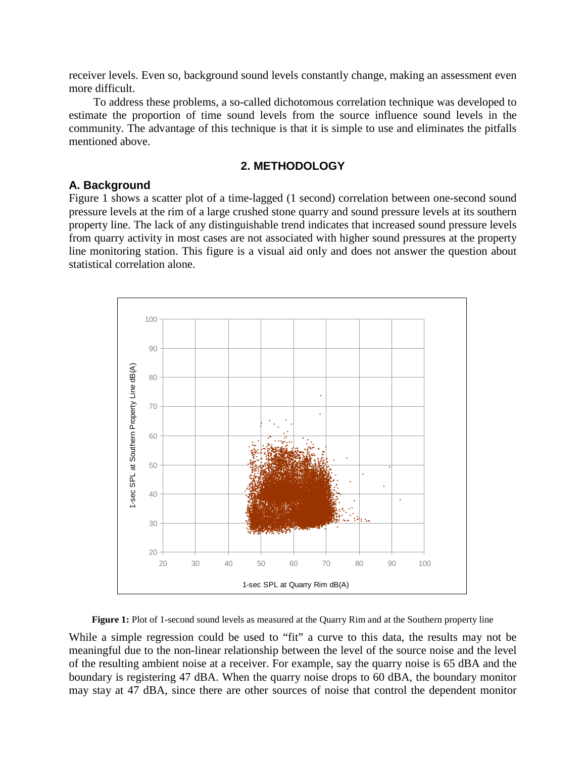receiver levels. Even so, background sound levels constantly change, making an assessment even more difficult.

To address these problems, a so-called dichotomous correlation technique was developed to estimate the proportion of time sound levels from the source influence sound levels in the community. The advantage of this technique is that it is simple to use and eliminates the pitfalls mentioned above.

# **2. METHODOLOGY**

## **A. Background**

Figure 1 shows a scatter plot of a time-lagged (1 second) correlation between one-second sound pressure levels at the rim of a large crushed stone quarry and sound pressure levels at its southern property line. The lack of any distinguishable trend indicates that increased sound pressure levels from quarry activity in most cases are not associated with higher sound pressures at the property line monitoring station. This figure is a visual aid only and does not answer the question about statistical correlation alone.



**Figure 1:** Plot of 1-second sound levels as measured at the Quarry Rim and at the Southern property line

While a simple regression could be used to "fit" a curve to this data, the results may not be meaningful due to the non-linear relationship between the level of the source noise and the level of the resulting ambient noise at a receiver. For example, say the quarry noise is 65 dBA and the boundary is registering 47 dBA. When the quarry noise drops to 60 dBA, the boundary monitor may stay at 47 dBA, since there are other sources of noise that control the dependent monitor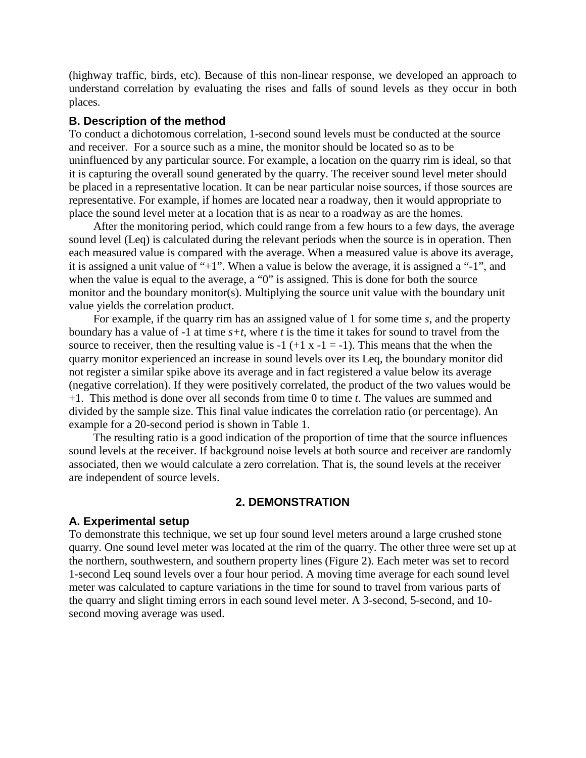(highway traffic, birds, etc). Because of this non-linear response, we developed an approach to understand correlation by evaluating the rises and falls of sound levels as they occur in both places.

# **B. Description of the method**

To conduct a dichotomous correlation, 1-second sound levels must be conducted at the source and receiver. For a source such as a mine, the monitor should be located so as to be uninfluenced by any particular source. For example, a location on the quarry rim is ideal, so that it is capturing the overall sound generated by the quarry. The receiver sound level meter should be placed in a representative location. It can be near particular noise sources, if those sources are representative. For example, if homes are located near a roadway, then it would appropriate to place the sound level meter at a location that is as near to a roadway as are the homes.

After the monitoring period, which could range from a few hours to a few days, the average sound level (Leq) is calculated during the relevant periods when the source is in operation. Then each measured value is compared with the average. When a measured value is above its average, it is assigned a unit value of "+1". When a value is below the average, it is assigned a "-1", and when the value is equal to the average, a "0" is assigned. This is done for both the source monitor and the boundary monitor(s). Multiplying the source unit value with the boundary unit value yields the correlation product.

For example, if the quarry rim has an assigned value of 1 for some time *s*, and the property boundary has a value of -1 at time *s+t*, where *t* is the time it takes for sound to travel from the source to receiver, then the resulting value is  $-1$  ( $+1$  x  $-1$  =  $-1$ ). This means that the when the quarry monitor experienced an increase in sound levels over its Leq, the boundary monitor did not register a similar spike above its average and in fact registered a value below its average (negative correlation). If they were positively correlated, the product of the two values would be +1. This method is done over all seconds from time 0 to time *t*. The values are summed and divided by the sample size. This final value indicates the correlation ratio (or percentage). An example for a 20-second period is shown in Table 1.

The resulting ratio is a good indication of the proportion of time that the source influences sound levels at the receiver. If background noise levels at both source and receiver are randomly associated, then we would calculate a zero correlation. That is, the sound levels at the receiver are independent of source levels.

## **2. DEMONSTRATION**

#### **A. Experimental setup**

To demonstrate this technique, we set up four sound level meters around a large crushed stone quarry. One sound level meter was located at the rim of the quarry. The other three were set up at the northern, southwestern, and southern property lines (Figure 2). Each meter was set to record 1-second Leq sound levels over a four hour period. A moving time average for each sound level meter was calculated to capture variations in the time for sound to travel from various parts of the quarry and slight timing errors in each sound level meter. A 3-second, 5-second, and 10second moving average was used.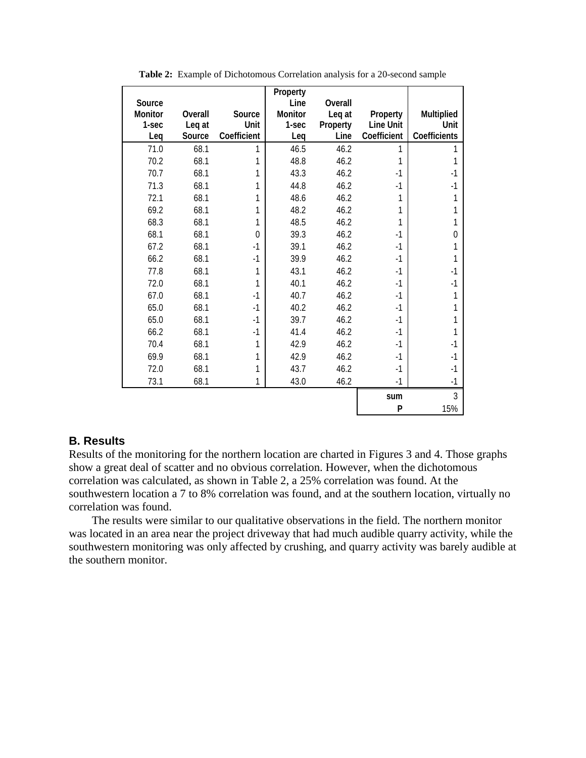|         |         |                | Property |          |             |                |
|---------|---------|----------------|----------|----------|-------------|----------------|
| Source  |         |                | Line     | Overall  |             |                |
| Monitor | Overall | Source         | Monitor  | Leq at   | Property    | Multiplied     |
| 1-sec   | Leq at  | Unit           | 1-sec    | Property | Line Unit   | Unit           |
| Leg     | Source  | Coefficient    | Leq      | Line     | Coefficient | Coefficients   |
| 71.0    | 68.1    | 1              | 46.5     | 46.2     | 1           |                |
| 70.2    | 68.1    | 1              | 48.8     | 46.2     | 1           |                |
| 70.7    | 68.1    | 1              | 43.3     | 46.2     | $-1$        | $-1$           |
| 71.3    | 68.1    | $\mathbf{1}$   | 44.8     | 46.2     | $-1$        | $-1$           |
| 72.1    | 68.1    | 1              | 48.6     | 46.2     | 1           |                |
| 69.2    | 68.1    | 1              | 48.2     | 46.2     |             |                |
| 68.3    | 68.1    | 1              | 48.5     | 46.2     |             |                |
| 68.1    | 68.1    | $\overline{0}$ | 39.3     | 46.2     | $-1$        | $\theta$       |
| 67.2    | 68.1    | $-1$           | 39.1     | 46.2     | $-1$        |                |
| 66.2    | 68.1    | $-1$           | 39.9     | 46.2     | $-1$        |                |
| 77.8    | 68.1    | 1              | 43.1     | 46.2     | $-1$        | $-1$           |
| 72.0    | 68.1    | 1              | 40.1     | 46.2     | $-1$        | $-1$           |
| 67.0    | 68.1    | $-1$           | 40.7     | 46.2     | $-1$        |                |
| 65.0    | 68.1    | $-1$           | 40.2     | 46.2     | $-1$        |                |
| 65.0    | 68.1    | $-1$           | 39.7     | 46.2     | $-1$        |                |
| 66.2    | 68.1    | $-1$           | 41.4     | 46.2     | $-1$        |                |
| 70.4    | 68.1    | 1              | 42.9     | 46.2     | $-1$        | $-1$           |
| 69.9    | 68.1    | 1              | 42.9     | 46.2     | $-1$        | $-1$           |
| 72.0    | 68.1    |                | 43.7     | 46.2     | $-1$        | $-1$           |
| 73.1    | 68.1    | 1              | 43.0     | 46.2     | $-1$        | $-1$           |
|         |         |                |          |          | sum         | $\overline{3}$ |
|         |         |                |          |          | P           | 15%            |

**Table 2:** Example of Dichotomous Correlation analysis for a 20-second sample

## **B. Results**

Results of the monitoring for the northern location are charted in Figures 3 and 4. Those graphs show a great deal of scatter and no obvious correlation. However, when the dichotomous correlation was calculated, as shown in Table 2, a 25% correlation was found. At the southwestern location a 7 to 8% correlation was found, and at the southern location, virtually no correlation was found.

The results were similar to our qualitative observations in the field. The northern monitor was located in an area near the project driveway that had much audible quarry activity, while the southwestern monitoring was only affected by crushing, and quarry activity was barely audible at the southern monitor.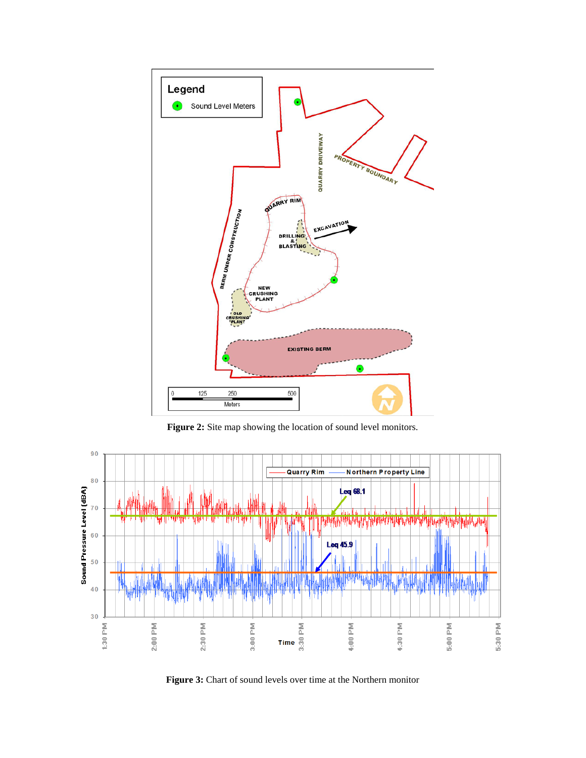

**Figure 2:** Site map showing the location of sound level monitors.



**Figure 3:** Chart of sound levels over time at the Northern monitor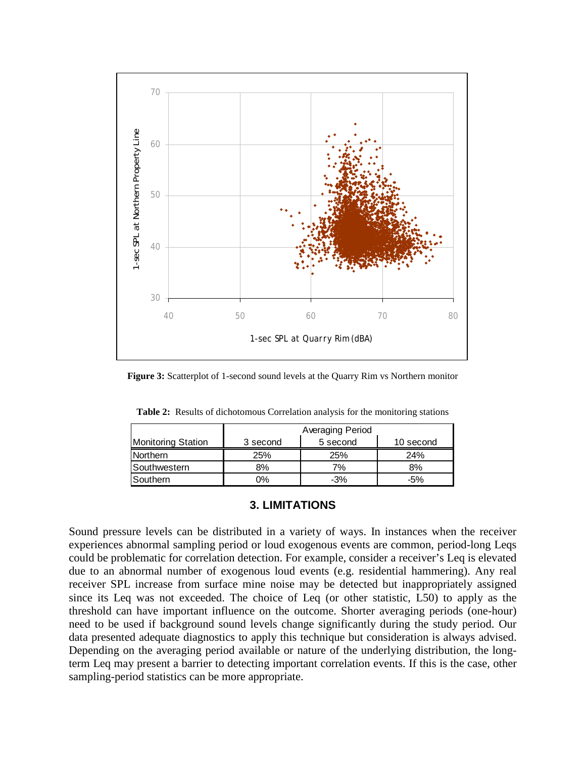

**Figure 3:** Scatterplot of 1-second sound levels at the Quarry Rim vs Northern monitor

|                           | Averaging Period |          |           |  |  |
|---------------------------|------------------|----------|-----------|--|--|
| <b>Monitoring Station</b> | 3 second         | 5 second | 10 second |  |  |
| <b>Northern</b>           | 25%              | 25%      | 24%       |  |  |
| Southwestern              | 8%               | 7%       | 8%        |  |  |
| Southern                  | 0%               | $-3%$    | $-5%$     |  |  |

**Table 2:** Results of dichotomous Correlation analysis for the monitoring stations

## **3. LIMITATIONS**

Sound pressure levels can be distributed in a variety of ways. In instances when the receiver experiences abnormal sampling period or loud exogenous events are common, period-long Leqs could be problematic for correlation detection. For example, consider a receiver's Leq is elevated due to an abnormal number of exogenous loud events (e.g. residential hammering). Any real receiver SPL increase from surface mine noise may be detected but inappropriately assigned since its Leq was not exceeded. The choice of Leq (or other statistic, L50) to apply as the threshold can have important influence on the outcome. Shorter averaging periods (one-hour) need to be used if background sound levels change significantly during the study period. Our data presented adequate diagnostics to apply this technique but consideration is always advised. Depending on the averaging period available or nature of the underlying distribution, the longterm Leq may present a barrier to detecting important correlation events. If this is the case, other sampling-period statistics can be more appropriate.